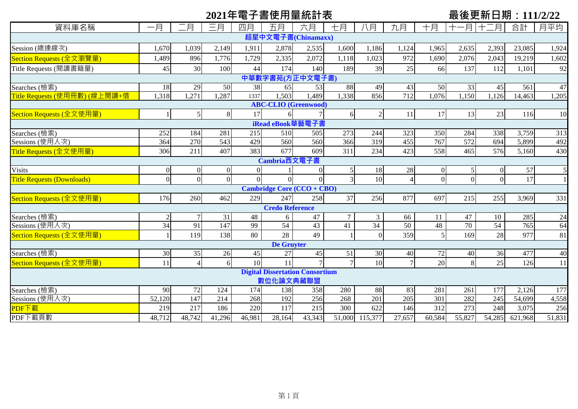# 2021年電子書使用量統計表<br> **■ 
2021年電子書使用量統計表**

| 資料庫名稱                             | 一月            | 月              | 三月              | 四月             | 五月                     | 六月                                     | 七月             | 八月             | 九月              | 十月       | -月              | 月               | 合計      | 月平均             |
|-----------------------------------|---------------|----------------|-----------------|----------------|------------------------|----------------------------------------|----------------|----------------|-----------------|----------|-----------------|-----------------|---------|-----------------|
| 超星中文電子書(Chinamaxx)                |               |                |                 |                |                        |                                        |                |                |                 |          |                 |                 |         |                 |
| Session (總連線次)                    | 1,670         | 1,039          | 2,149           | 1,911          | 2,878                  | 2,535                                  | 1,600          | 1,186          | 1,124           | 1,965    | 2,635           | 2,393           | 23,085  | 1,924           |
| Section Requests (全文瀏覽量)          | 1,489         | 896            | 1,776           | 1,729          | 2,335                  | 2,072                                  | 1,118          | 1,023          | 972             | 1,690    | 2,076           | 2,043           | 19,219  | 1,602           |
| Title Requests (閱讀書籍量)            | 45            | 30             | 100             | 44             | 174                    | 140                                    | 189            | 39             | 25              | 66       | 137             | 112             | 1,101   | 92              |
| 中華數字書苑(方正中文電子書)                   |               |                |                 |                |                        |                                        |                |                |                 |          |                 |                 |         |                 |
| Searches (檢索)                     | 18            | 29             | 50              | 38             | 65                     | 53                                     | 88             | 49             | 43              | 50       | 33              | 45              | 561     | 47              |
| Title Requests (使用冊數) (線上閱讀+借     | 1,318         | 1,271          | 1,287           | 1337           | .503                   | 1,489                                  | 1,338          | 856            | 712             | 1,076    | 1,150           | 1,126           | 14,463  | 1,205           |
| <b>ABC-CLIO</b> (Greenwood)       |               |                |                 |                |                        |                                        |                |                |                 |          |                 |                 |         |                 |
| Section Requests (全文使用量)          |               | 5 <sub>l</sub> | 8               | 17             |                        |                                        | 6              |                | 11              | 17       | 13              | 23              | 116     | 10              |
| iRead eBook華藝電子書                  |               |                |                 |                |                        |                                        |                |                |                 |          |                 |                 |         |                 |
| Searches (檢索)                     | 252           | 184            | 281             | 215            | 510                    | 505                                    | 273            | 244            | 323             | 350      | 284             | 338             | 3,759   | 313             |
| Sessions (使用人次)                   | 364           | 270            | 543             | 429            | 560                    | 560                                    | 366            | 319            | 455             | 767      | 572             | 694             | 5,899   | 492             |
| Title Requests (全文使用量)            | 306           | 211            | 407             | 383            | 677                    | 609                                    | 311            | 234            | 423             | 558      | 465             | 576             | 5,160   | 430             |
| Cambria西文電子書                      |               |                |                 |                |                        |                                        |                |                |                 |          |                 |                 |         |                 |
| <b>Visits</b>                     | $\Omega$      | $\overline{0}$ | 01              | $\overline{0}$ |                        |                                        | 5 <sub>l</sub> | 18             | 28              | $\Omega$ | 5               | $\Omega$        | 57      |                 |
| <b>Title Requests (Downloads)</b> | $\Omega$      | $\overline{0}$ | $\Omega$        | $\Omega$       |                        |                                        | $\overline{3}$ | 10             | $\overline{4}$  | $\Omega$ | $\Omega$        | $\Omega$        | 17      |                 |
|                                   |               |                |                 |                |                        | <b>Cambridge Core (CCO + CBO)</b>      |                |                |                 |          |                 |                 |         |                 |
| Section Requests (全文使用量)          | 176           | 260            | 462             | 229            | 247                    | 258                                    | 37             | 256            | 877             | 697      | 215             | 255             | 3,969   | 331             |
|                                   |               |                |                 |                | <b>Credo Reference</b> |                                        |                |                |                 |          |                 |                 |         |                 |
| Searches (檢索)                     | $\mathcal{D}$ | $\tau$         | $\overline{31}$ | 48             | 6                      | 47                                     | $\tau$         | $\mathfrak{Z}$ | 66              | 11       | 47              | 10              | 285     | $\overline{24}$ |
| Sessions (使用人次)                   | 34            | 91             | 147             | 99             | 54                     | $\overline{43}$                        | 41             | 34             | $\overline{50}$ | 48       | $\overline{70}$ | $\overline{54}$ | 765     | 64              |
| Section Requests (全文使用量)          |               | 119            | 138             | 80             | 28                     | 49                                     |                |                | 359             | 5        | 169             | 28              | 977     | 81              |
|                                   |               |                |                 |                | <b>De Gruyter</b>      |                                        |                |                |                 |          |                 |                 |         |                 |
| Searches (檢索)                     | 30            | 35             | 26              | 45             | 27                     | 45                                     | 51             | 30             | 40              | 72       | 40              | 36              | 477     | 40              |
| Section Requests (全文使用量)          | 11            | $\overline{4}$ | 6               | 10             | 11                     |                                        | $\overline{7}$ | 10             | $\overline{7}$  | 20       |                 | 25              | 126     | 11              |
|                                   |               |                |                 |                |                        | <b>Digital Dissertation Consortium</b> |                |                |                 |          |                 |                 |         |                 |
|                                   |               |                |                 |                | 數位化論文典藏聯盟              |                                        |                |                |                 |          |                 |                 |         |                 |
| Searches (檢索)                     | 90            | 72             | 124             | 174            | 138                    | 358                                    | 280            | 88             | 83              | 281      | 261             | 177             | 2,126   | 177             |
| Sessions (使用人次)                   | 52,120        | 147            | 214             | 268            | 192                    | 256                                    | 268            | 201            | 205             | 301      | 282             | 245             | 54,699  | 4,558           |
| PDF下載                             | 219           | 217            | 186             | 220            | 117                    | 215                                    | 300            | 622            | 146             | 312      | 273             | 248             | 3,075   | 256             |
| PDF下載頁數                           | 48,712        | 48,742         | 41,296          | 46,981         | 28,164                 | 43,343                                 | 51,000         | 115,377        | 27,657          | 60,584   | 55,827          | 54,285          | 621,968 | 51,831          |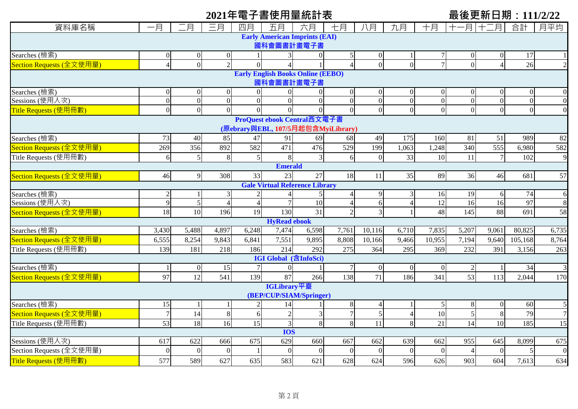# 2021年電子書使用量統計表<br> **■ 
2021年電子書使用量統計表**

| 資料庫名稱                                                  | 一月             | 二月               | 三月             | 四月             | 五月                                     | 六月              | 七月               | 八月             | 九月             | 十月             | 月               | .月              | 合計             | 月平均            |
|--------------------------------------------------------|----------------|------------------|----------------|----------------|----------------------------------------|-----------------|------------------|----------------|----------------|----------------|-----------------|-----------------|----------------|----------------|
|                                                        |                |                  |                |                | <b>Early American Imprints (EAI)</b>   |                 |                  |                |                |                |                 |                 |                |                |
| 國科會圖書計畫電子書                                             |                |                  |                |                |                                        |                 |                  |                |                |                |                 |                 |                |                |
| Searches (檢索)                                          | 0              | $\boldsymbol{0}$ | $\overline{0}$ |                |                                        | $\overline{0}$  | 5                | $\overline{0}$ |                |                | $\theta$        | $\theta$        | 17             |                |
| Section Requests (全文使用量)                               | $\overline{4}$ | $\overline{0}$   | $\overline{2}$ | $\Omega$       |                                        |                 | $\overline{A}$   | $\overline{0}$ | $\theta$       |                | $\Omega$        |                 | 26             |                |
| <b>Early English Books Online (EEBO)</b><br>國科會圖書計畫電子書 |                |                  |                |                |                                        |                 |                  |                |                |                |                 |                 |                |                |
| Searches (檢索)                                          | $\overline{0}$ | $\overline{0}$   | $\overline{0}$ | $\Omega$       | $\overline{0}$                         | $\overline{0}$  | $\boldsymbol{0}$ | $\Omega$       | $\overline{0}$ | $\Omega$       | $\Omega$        | $\Omega$        | $\theta$       |                |
| Sessions (使用人次)                                        | $\overline{0}$ | $\overline{0}$   | $\overline{0}$ | $\overline{0}$ | $\Omega$                               | $\overline{0}$  | $\overline{0}$   | $\overline{0}$ | $\overline{0}$ | $\Omega$       | $\Omega$        | $\overline{0}$  | $\overline{0}$ |                |
| Title Requests (使用冊數)                                  | $\overline{0}$ | $\overline{0}$   | $\overline{0}$ | $\Omega$       |                                        | $\overline{0}$  | $\overline{0}$   | $\overline{0}$ | $\overline{0}$ | $\overline{0}$ | $\Omega$        | $\overline{0}$  | $\overline{0}$ |                |
| ProQuest ebook Central西文電子書                            |                |                  |                |                |                                        |                 |                  |                |                |                |                 |                 |                |                |
| (原ebrary與EBL, 107/5月起包含MyiLibrary)                     |                |                  |                |                |                                        |                 |                  |                |                |                |                 |                 |                |                |
| Searches (檢索)                                          | 73             | 40               | 85             | 47             | 91                                     | 69              | 68               | 49             | 175            | 160            | 81              | 51              | 989            | 82             |
| Section Requests (全文使用量)                               | 269            | 356              | 892            | 582            | 471                                    | 476             | $\overline{529}$ | 199            | 1,063          | ,248           | 340             | $\frac{1}{555}$ | 6,980          | 582            |
| Title Requests (使用冊數)                                  | 6              | 5                | 8              | 5 <sub>l</sub> | $\mathbf{8}$                           | $\overline{3}$  | 6                | $\Omega$       | 33             | 10             | 11              | $\overline{7}$  | 102            | 9              |
| <b>Emerald</b>                                         |                |                  |                |                |                                        |                 |                  |                |                |                |                 |                 |                |                |
| Section Requests (全文使用量)                               | 46             | 9                | 308            | 33             | 23                                     | 27              | 18               | 11             | 35             | 89             | 36              | 46              | 681            | 57             |
| <b>Gale Virtual Reference Library</b>                  |                |                  |                |                |                                        |                 |                  |                |                |                |                 |                 |                |                |
| Searches (檢索)                                          | $\overline{c}$ |                  | 3              |                |                                        |                 | $\overline{4}$   | 9              | 3              | 16             | 19              | 6               | 74             | 6              |
| Sessions (使用人次)                                        | 9              | $\sqrt{5}$       | $\overline{4}$ | $\overline{4}$ |                                        | 10              | $\overline{4}$   | 6              |                | 12             | 16              | 16              | 97             |                |
| Section Requests (全文使用量)                               | 18             | 10               | 196            | 19             | 130                                    | $\overline{31}$ | $\overline{2}$   | $\overline{3}$ |                | 48             | 145             | 88              | 691            | 58             |
|                                                        |                |                  |                |                | <b>HyRead ebook</b>                    |                 |                  |                |                |                |                 |                 |                |                |
| Searches (檢索)                                          | 3,430          | 5,488            | 4,897          | 6,248          | 7,474                                  | 6,598           | 7,761            | 10,116         | 6,710          | 7,835          | 5,207           | 9,061           | 80,825         | 6,735          |
| Section Requests (全文使用量)                               | 6,555          | 8,254            | 9,843          | 6,841          | 7,551                                  | 9,895           | 8,808            | 10,166         | 9,466          | 10,955         | 7,194           | 9,640           | 105,168        | 8,764          |
| Title Requests (使用冊數)                                  | 139            | 181              | 218            | 186            | 214                                    | 292             | 275              | 364            | 295            | 369            | 232             | 391             | 3,156          | 263            |
|                                                        |                |                  |                |                | IGI Global (含InfoSci)                  |                 |                  |                |                |                |                 |                 |                |                |
| Searches (檢索)                                          |                | $\overline{0}$   | 15             | $\overline{7}$ | $\overline{0}$                         |                 | $\overline{7}$   | $\mathbf{0}$   | $\overline{0}$ | $\Omega$       |                 |                 | 34             |                |
| Section Requests (全文使用量)                               | 97             | 12               | 541            | 139            | 87                                     | 266             | 138              | 71             | 186            | 341            | 53              | 113             | 2,044          | 170            |
|                                                        |                |                  |                |                | IGLibrary平臺<br>(BEP/CUP/SIAM/Springer) |                 |                  |                |                |                |                 |                 |                |                |
| Searches (檢索)                                          | 15             |                  |                | $\overline{2}$ | 14                                     |                 | $\,8\,$          | $\overline{4}$ |                | $\mathcal{F}$  | 8               | $\Omega$        | 60             |                |
| Section Requests (全文使用量)                               | $\overline{7}$ | 14               | 8              | 6              |                                        | $\mathfrak{Z}$  | $\overline{7}$   | $\mathfrak{S}$ |                | 10             | 5               | 8               | 79             | $\overline{7}$ |
| Title Requests (使用冊數)                                  | 53             | 18               | 16             | 15             | 3                                      | 8               | 8                | 11             | 8              | 21             | $\overline{14}$ | 10              | 185            | 15             |
|                                                        |                |                  |                |                | <b>IOS</b>                             |                 |                  |                |                |                |                 |                 |                |                |
| Sessions (使用人次)                                        | 617            | 622              | 666            | 675            | $\overline{629}$                       | 660             | 667              | 662            | 639            | 662            | 955             | 645             | 8,099          | 675            |
| Section Requests (全文使用量)                               | $\overline{0}$ | $\overline{0}$   | $\theta$       |                | $\Omega$                               | $\overline{0}$  | $\Omega$         | $\overline{0}$ | $\Omega$       | $\Omega$       |                 | $\Omega$        |                | $\overline{0}$ |
| Title Requests (使用冊數)                                  | 577            | 589              | 627            | 635            | 583                                    | 621             | 628              | 624            | 596            | 626            | 903             | 604             | 7,613          | 634            |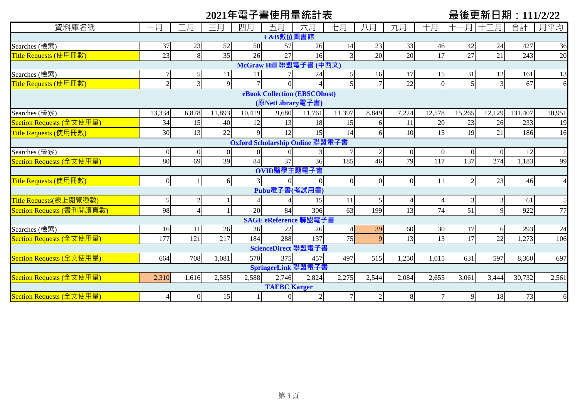|                           |                 |                |                |                |                     | 2021年電子書使用量統計表                  |                |                |                |                |                | 最後更新日期:111/2/22 |         |                |
|---------------------------|-----------------|----------------|----------------|----------------|---------------------|---------------------------------|----------------|----------------|----------------|----------------|----------------|-----------------|---------|----------------|
| 資料庫名稱                     | 一月              | 月              | 三月             | 四月             | 五月                  | 六月                              | 七月             | 八月             | 九月             | 十月             | 月              | 月               | 合計      | 月平均            |
|                           |                 |                |                |                | L&B數位圖書館            |                                 |                |                |                |                |                |                 |         |                |
| Searches (檢索)             | 37              | 23             | 52             | 50             | 57                  | 26                              | 14             | 23             | 33             | 46             | 42             | 24              | 427     | 36             |
| Title Requests (使用冊數)     | 23              | 8              | 35             | 26             | 27                  | 16                              |                | 20             | 20             | 17             | 27             | 21              | 243     | 20             |
|                           |                 |                |                |                |                     | McGraw Hill 聯盟電子書 (中西文)         |                |                |                |                |                |                 |         |                |
| Searches (檢索)             |                 | 5              | 11             | 11             |                     | 24                              |                | 16             | 17             | 15             | 31             | 12              | 161     | 13             |
| Title Requests (使用冊數)     | $\overline{2}$  | 3              | $\overline{9}$ |                |                     |                                 |                | $\overline{7}$ | 22             | $\overline{0}$ | $\vert$        | $\overline{3}$  | 67      | $\epsilon$     |
|                           |                 |                |                |                | (原NetLibrary電子書)    | eBook Collection (EBSCOhost)    |                |                |                |                |                |                 |         |                |
| Searches (檢索)             | 13,334          | 6,878          | 11,893         | 10,419         | 9,680               | 11,761                          | 11,397         | 8,849          | 7,224          | 12,578         | 15,265         | 12,129          | 131,407 | 10,951         |
| Section Requests (全文使用量)  | 34              | 15             | 40             | 12             | 13                  | 18                              | 15             | 6              | 11             | 20             | 23             | 26              | 233     | 19             |
| Title Requests (使用冊數)     | 30              | 13             | 22             | $\mathbf Q$    | 12                  | 15                              | 14             | 6              | 10             | 15             | 19             | 21              | 186     | 16             |
|                           |                 |                |                |                |                     | Oxford Scholarship Online 聯盟電子書 |                |                |                |                |                |                 |         |                |
| Searches (檢索)             | $\Omega$        | $\overline{0}$ | $\Omega$       | $\Omega$       | $\Omega$            | 3                               |                | $\overline{2}$ | $\overline{0}$ | $\overline{0}$ | $\overline{0}$ | $\overline{0}$  | 12      |                |
| Section Requests (全文使用量)  | 80              | 69             | 39             | 84             | 37                  | 36                              | 185            | 46             | 79             | 117            | 137            | 274             | 1,183   | 99             |
|                           |                 |                |                |                | OVID醫學主題電子書         |                                 |                |                |                |                |                |                 |         |                |
| Title Requests (使用冊數)     | $\overline{0}$  |                | 6              | $\overline{3}$ | $\Omega$            |                                 | $\overline{0}$ | $\overline{0}$ | $\overline{0}$ | 11             | $\overline{2}$ | 23              | 46      | $\overline{4}$ |
|                           |                 |                |                |                | Pubu電子書(考試用書)       |                                 |                |                |                |                |                |                 |         |                |
| Title Requests(線上閱覽種數)    | 5 <sub>l</sub>  |                |                |                |                     | 15                              | 11             |                |                | $\overline{4}$ | $\mathfrak{Z}$ | 3               | 61      |                |
| Section Requests (書刊閱讀頁數) | 98              |                |                | 20             | 84                  | 306                             | 63             | 199            | 13             | 74             | 51             | $\overline{9}$  | 922     | 77             |
|                           |                 |                |                |                |                     | SAGE eReference 聯盟電子書           |                |                |                |                |                |                 |         |                |
| Searches (檢索)             | 16              | 11             | 26             | 36             | 22                  | 26                              |                | 39             | 60             | 30             | 17             | 6               | 293     | 24             |
| Section Requests (全文使用量)  | 177             | 121            | 217            | 184            | 288                 | 137                             | 75             | $\overline{Q}$ | 13             | 13             | 17             | 22              | 1,273   | 106            |
|                           |                 |                |                |                |                     | ScienceDirect 聯盟電子書             |                |                |                |                |                |                 |         |                |
| Section Requests (全文使用量)  | 664             | 708            | 1,081          | 570            | 375                 | 457                             | 497            | 515            | 1,250          | 1,015          | 631            | 597             | 8,360   | 697            |
|                           |                 |                |                |                |                     | SpringerLink 聯盟電子書              |                |                |                |                |                |                 |         |                |
| Section Requests (全文使用量)  | 2,310           | 1,616          | 2,585          | 2,588          | 2,746               | 2,824                           | 2,275          | 2,544          | 2,084          | 2,655          | 3,061          | 3,444           | 30,732  | 2,561          |
|                           |                 |                |                |                | <b>TAEBC</b> Karger |                                 |                |                |                |                |                |                 |         |                |
| Section Requests (全文使用量)  | $\vert 4 \vert$ | $\vert$        | 15             |                | $\overline{0}$      | $\sqrt{2}$                      | $7\phantom{.}$ | $\overline{2}$ | 8 <sup>l</sup> | 7              | 9              | 18              | 73      | 6              |